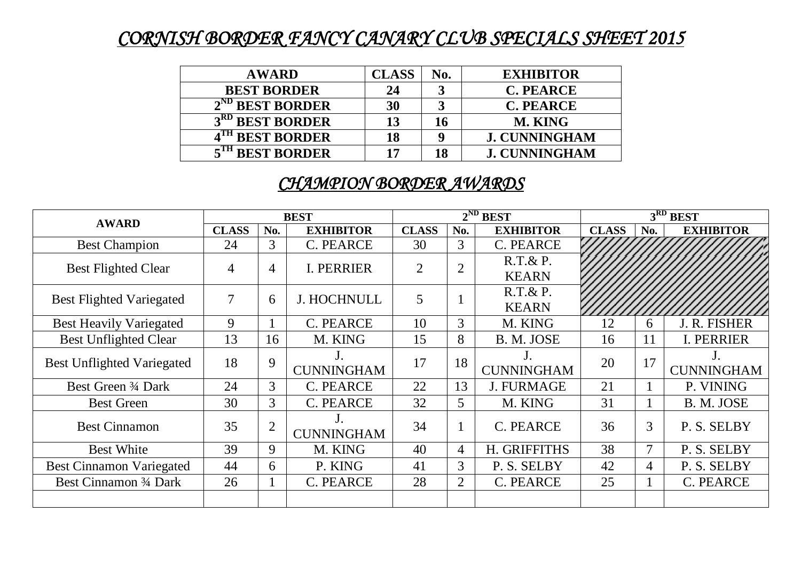## *CORNISH BORDER FANCY CANARY CLUB SPECIALS SHEET 2015*

| <b>AWARD</b>                | <b>CLASS</b> | No. | <b>EXHIBITOR</b>     |
|-----------------------------|--------------|-----|----------------------|
| <b>BEST BORDER</b>          | 24           |     | <b>C. PEARCE</b>     |
| $2^{ND}$ BEST BORDER        | 30           |     | <b>C. PEARCE</b>     |
| 3 <sup>RD</sup> BEST BORDER | 13           | 16  | <b>M. KING</b>       |
| 4 <sup>TH</sup> BEST BORDER | 18           | Q   | <b>J. CUNNINGHAM</b> |
| 5 <sup>TH</sup> BEST BORDER | 17           | 18  | <b>J. CUNNINGHAM</b> |

### *CHAMPION BORDER AWARDS*

| <b>AWARD</b>                      | <b>BEST</b>    |                |                    | $2^{ND}$ BEST |                |                   | 3RD BEST     |     |                   |
|-----------------------------------|----------------|----------------|--------------------|---------------|----------------|-------------------|--------------|-----|-------------------|
|                                   | <b>CLASS</b>   | No.            | <b>EXHIBITOR</b>   | <b>CLASS</b>  | No.            | <b>EXHIBITOR</b>  | <b>CLASS</b> | No. | <b>EXHIBITOR</b>  |
| <b>Best Champion</b>              | 24             | 3              | C. PEARCE          | 30            | 3              | C. PEARCE         |              |     |                   |
| <b>Best Flighted Clear</b>        | 4              | $\overline{4}$ | <b>I. PERRIER</b>  | 2             | $\overline{2}$ | $R.T.\& P.$       |              |     |                   |
|                                   |                |                |                    |               |                | <b>KEARN</b>      |              |     |                   |
| <b>Best Flighted Variegated</b>   | $\overline{7}$ | 6              | <b>J. HOCHNULL</b> | 5             |                | $R.T.\& P.$       |              |     |                   |
|                                   |                |                |                    |               |                | <b>KEARN</b>      |              |     |                   |
| <b>Best Heavily Variegated</b>    | 9              |                | C. PEARCE          | 10            | 3              | M. KING           | 12           | 6   | J. R. FISHER      |
| <b>Best Unflighted Clear</b>      | 13             | 16             | M. KING            | 15            | 8              | B. M. JOSE        | 16           | 11  | I. PERRIER        |
| <b>Best Unflighted Variegated</b> | 18             | 9              |                    | 17            | 18             |                   | 20           | 17  |                   |
|                                   |                |                | <b>CUNNINGHAM</b>  |               |                | <b>CUNNINGHAM</b> |              |     | <b>CUNNINGHAM</b> |
| Best Green 3/4 Dark               | 24             | 3              | C. PEARCE          | 22            | 13             | <b>J. FURMAGE</b> | 21           |     | P. VINING         |
| <b>Best Green</b>                 | 30             | 3              | <b>C. PEARCE</b>   | 32            | 5              | M. KING           | 31           |     | B. M. JOSE        |
| 35<br><b>Best Cinnamon</b>        |                | $\overline{2}$ |                    | 34            |                | <b>C. PEARCE</b>  | 36           | 3   | P. S. SELBY       |
|                                   |                |                | <b>CUNNINGHAM</b>  |               |                |                   |              |     |                   |
| <b>Best White</b>                 | 39             | 9              | M. KING            | 40            | $\overline{4}$ | H. GRIFFITHS      | 38           | 7   | P. S. SELBY       |
| <b>Best Cinnamon Variegated</b>   | 44             | 6              | P. KING            | 41            | 3              | P. S. SELBY       | 42           | 4   | P. S. SELBY       |
| Best Cinnamon 3/4 Dark            | 26             | $\mathbf{1}$   | C. PEARCE          | 28            | $\overline{2}$ | C. PEARCE         | 25           |     | C. PEARCE         |
|                                   |                |                |                    |               |                |                   |              |     |                   |